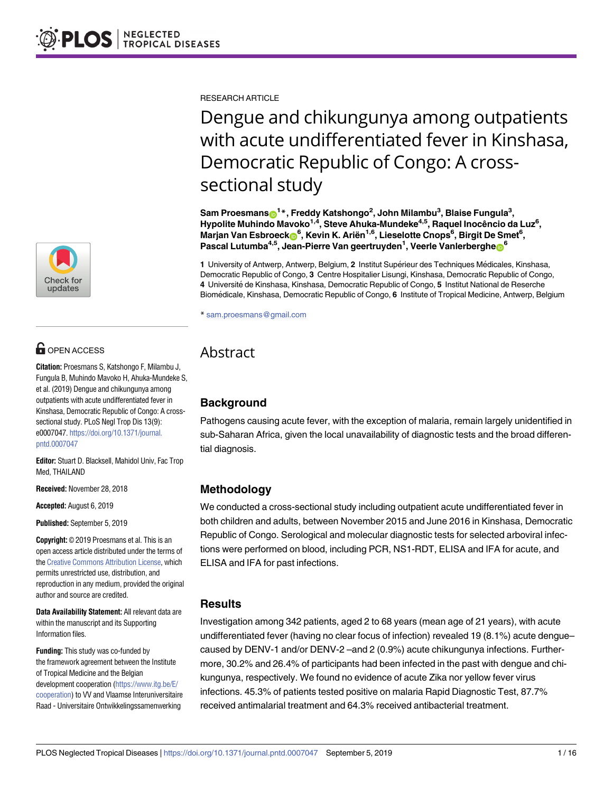

## **OPEN ACCESS**

**Citation:** Proesmans S, Katshongo F, Milambu J, Fungula B, Muhindo Mavoko H, Ahuka-Mundeke S, et al. (2019) Dengue and chikungunya among outpatients with acute undifferentiated fever in Kinshasa, Democratic Republic of Congo: A crosssectional study. PLoS Negl Trop Dis 13(9): e0007047. [https://doi.org/10.1371/journal.](https://doi.org/10.1371/journal.pntd.0007047) [pntd.0007047](https://doi.org/10.1371/journal.pntd.0007047)

**Editor:** Stuart D. Blacksell, Mahidol Univ, Fac Trop Med, THAILAND

**Received:** November 28, 2018

**Accepted:** August 6, 2019

**Published:** September 5, 2019

**Copyright:** © 2019 Proesmans et al. This is an open access article distributed under the terms of the Creative [Commons](http://creativecommons.org/licenses/by/4.0/) Attribution License, which permits unrestricted use, distribution, and reproduction in any medium, provided the original author and source are credited.

**Data Availability Statement:** All relevant data are within the manuscript and its Supporting Information files.

**Funding:** This study was co-funded by the framework agreement between the Institute of Tropical Medicine and the Belgian development cooperation [\(https://www.itg.be/E/](https://www.itg.be/E/cooperation) [cooperation](https://www.itg.be/E/cooperation)) to VV and Vlaamse Interuniversitaire Raad - Universitaire Ontwikkelingssamenwerking

RESEARCH ARTICLE

# Dengue and chikungunya among outpatients with acute undifferentiated fever in Kinshasa, Democratic Republic of Congo: A crosssectional study

 $\delta$ Sam Proesmans $\delta^{1*}$ , Freddy Katshongo<sup>2</sup>, John Milambu<sup>3</sup>, Blaise Fungula<sup>3</sup>, **Hypolite Muhindo Mavoko1,4, Steve Ahuka-Mundeke4,5, Raquel Inocêncio da Luz6 ,**  $\mathbf{M}$ arjan Van Esbroeck $\mathbf{O}^6$ , Kevin K. Ariën<sup>1,6</sup>, Lieselotte Cnops $^6$ , Birgit De Smet $^6$ ,  $P$ ascal Lutumba<sup>4,5</sup>, Jean-Pierre Van geertruyden<sup>1</sup>, Veerle Vanlerberghe<sup>6</sup><sup>6</sup>

1 University of Antwerp, Antwerp, Belgium, 2 Institut Supérieur des Techniques Médicales, Kinshasa, Democratic Republic of Congo, **3** Centre Hospitalier Lisungi, Kinshasa, Democratic Republic of Congo, **4** Universite´ de Kinshasa, Kinshasa, Democratic Republic of Congo, **5** Institut National de Reserche Biomédicale, Kinshasa, Democratic Republic of Congo, 6 Institute of Tropical Medicine, Antwerp, Belgium

\* sam.proesmans@gmail.com

## Abstract

## **Background**

Pathogens causing acute fever, with the exception of malaria, remain largely unidentified in sub-Saharan Africa, given the local unavailability of diagnostic tests and the broad differential diagnosis.

## **Methodology**

We conducted a cross-sectional study including outpatient acute undifferentiated fever in both children and adults, between November 2015 and June 2016 in Kinshasa, Democratic Republic of Congo. Serological and molecular diagnostic tests for selected arboviral infections were performed on blood, including PCR, NS1-RDT, ELISA and IFA for acute, and ELISA and IFA for past infections.

## **Results**

Investigation among 342 patients, aged 2 to 68 years (mean age of 21 years), with acute undifferentiated fever (having no clear focus of infection) revealed 19 (8.1%) acute dengue– caused by DENV-1 and/or DENV-2 –and 2 (0.9%) acute chikungunya infections. Furthermore, 30.2% and 26.4% of participants had been infected in the past with dengue and chikungunya, respectively. We found no evidence of acute Zika nor yellow fever virus infections. 45.3% of patients tested positive on malaria Rapid Diagnostic Test, 87.7% received antimalarial treatment and 64.3% received antibacterial treatment.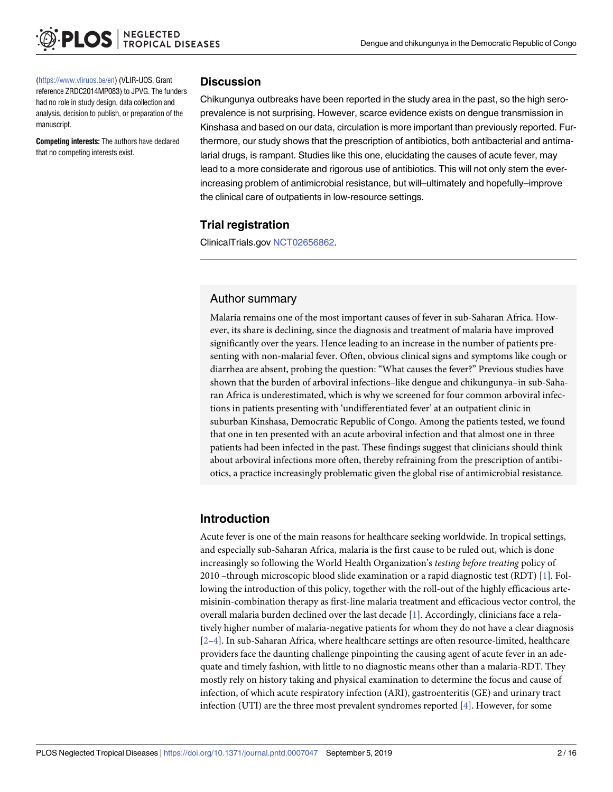<span id="page-1-0"></span>[\(https://www.vliruos.be/en\)](https://www.vliruos.be/en) (VLIR-UOS, Grant reference ZRDC2014MP083) to JPVG. The funders had no role in study design, data collection and analysis, decision to publish, or preparation of the manuscript.

**Competing interests:** The authors have declared that no competing interests exist.

#### **Discussion**

Chikungunya outbreaks have been reported in the study area in the past, so the high seroprevalence is not surprising. However, scarce evidence exists on dengue transmission in Kinshasa and based on our data, circulation is more important than previously reported. Furthermore, our study shows that the prescription of antibiotics, both antibacterial and antimalarial drugs, is rampant. Studies like this one, elucidating the causes of acute fever, may lead to a more considerate and rigorous use of antibiotics. This will not only stem the everincreasing problem of antimicrobial resistance, but will–ultimately and hopefully–improve the clinical care of outpatients in low-resource settings.

#### **Trial registration**

ClinicalTrials.gov [NCT02656862.](https://www.clinicaltrials.gov/ct2/show/NCT02656862)

#### Author summary

Malaria remains one of the most important causes of fever in sub-Saharan Africa. However, its share is declining, since the diagnosis and treatment of malaria have improved significantly over the years. Hence leading to an increase in the number of patients presenting with non-malarial fever. Often, obvious clinical signs and symptoms like cough or diarrhea are absent, probing the question: "What causes the fever?" Previous studies have shown that the burden of arboviral infections–like dengue and chikungunya–in sub-Saharan Africa is underestimated, which is why we screened for four common arboviral infections in patients presenting with 'undifferentiated fever' at an outpatient clinic in suburban Kinshasa, Democratic Republic of Congo. Among the patients tested, we found that one in ten presented with an acute arboviral infection and that almost one in three patients had been infected in the past. These findings suggest that clinicians should think about arboviral infections more often, thereby refraining from the prescription of antibiotics, a practice increasingly problematic given the global rise of antimicrobial resistance.

## **Introduction**

Acute fever is one of the main reasons for healthcare seeking worldwide. In tropical settings, and especially sub-Saharan Africa, malaria is the first cause to be ruled out, which is done increasingly so following the World Health Organization's *testing before treating* policy of 2010 –through microscopic blood slide examination or a rapid diagnostic test (RDT) [\[1\]](#page-12-0). Following the introduction of this policy, together with the roll-out of the highly efficacious artemisinin-combination therapy as first-line malaria treatment and efficacious vector control, the overall malaria burden declined over the last decade [[1\]](#page-12-0). Accordingly, clinicians face a relatively higher number of malaria-negative patients for whom they do not have a clear diagnosis [\[2–4](#page-12-0)]. In sub-Saharan Africa, where healthcare settings are often resource-limited, healthcare providers face the daunting challenge pinpointing the causing agent of acute fever in an adequate and timely fashion, with little to no diagnostic means other than a malaria-RDT. They mostly rely on history taking and physical examination to determine the focus and cause of infection, of which acute respiratory infection (ARI), gastroenteritis (GE) and urinary tract infection (UTI) are the three most prevalent syndromes reported [\[4\]](#page-12-0). However, for some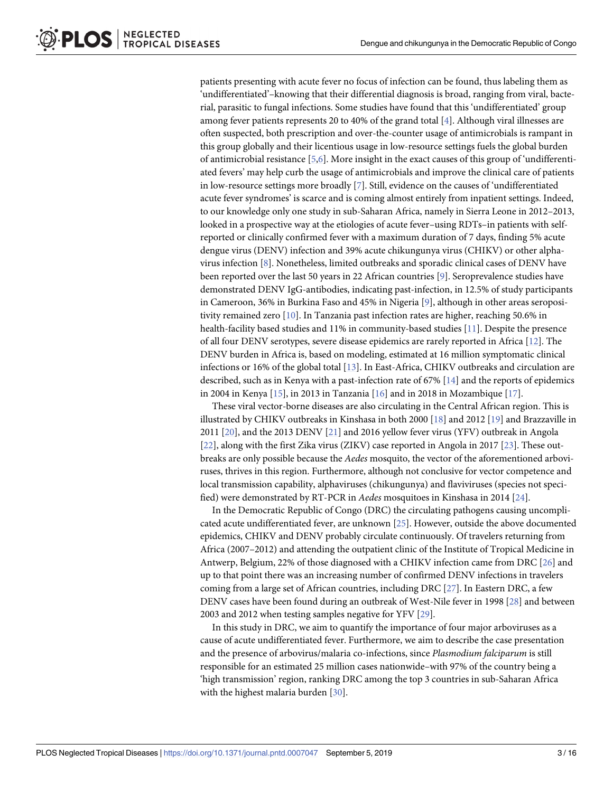<span id="page-2-0"></span>patients presenting with acute fever no focus of infection can be found, thus labeling them as 'undifferentiated'–knowing that their differential diagnosis is broad, ranging from viral, bacterial, parasitic to fungal infections. Some studies have found that this 'undifferentiated' group among fever patients represents 20 to 40% of the grand total [[4\]](#page-12-0). Although viral illnesses are often suspected, both prescription and over-the-counter usage of antimicrobials is rampant in this group globally and their licentious usage in low-resource settings fuels the global burden of antimicrobial resistance [[5,6\]](#page-12-0). More insight in the exact causes of this group of 'undifferentiated fevers' may help curb the usage of antimicrobials and improve the clinical care of patients in low-resource settings more broadly [\[7](#page-12-0)]. Still, evidence on the causes of 'undifferentiated acute fever syndromes' is scarce and is coming almost entirely from inpatient settings. Indeed, to our knowledge only one study in sub-Saharan Africa, namely in Sierra Leone in 2012–2013, looked in a prospective way at the etiologies of acute fever–using RDTs–in patients with selfreported or clinically confirmed fever with a maximum duration of 7 days, finding 5% acute dengue virus (DENV) infection and 39% acute chikungunya virus (CHIKV) or other alphavirus infection [\[8](#page-12-0)]. Nonetheless, limited outbreaks and sporadic clinical cases of DENV have been reported over the last 50 years in 22 African countries [[9](#page-12-0)]. Seroprevalence studies have demonstrated DENV IgG-antibodies, indicating past-infection, in 12.5% of study participants in Cameroon, 36% in Burkina Faso and 45% in Nigeria [\[9](#page-12-0)], although in other areas seropositivity remained zero [[10](#page-12-0)]. In Tanzania past infection rates are higher, reaching 50.6% in health-facility based studies and 11% in community-based studies [[11](#page-12-0)]. Despite the presence of all four DENV serotypes, severe disease epidemics are rarely reported in Africa [\[12\]](#page-12-0). The DENV burden in Africa is, based on modeling, estimated at 16 million symptomatic clinical infections or 16% of the global total [\[13\]](#page-13-0). In East-Africa, CHIKV outbreaks and circulation are described, such as in Kenya with a past-infection rate of 67% [[14](#page-13-0)] and the reports of epidemics in 2004 in Kenya [[15](#page-13-0)], in 2013 in Tanzania [[16](#page-13-0)] and in 2018 in Mozambique [[17](#page-13-0)].

These viral vector-borne diseases are also circulating in the Central African region. This is illustrated by CHIKV outbreaks in Kinshasa in both 2000 [\[18\]](#page-13-0) and 2012 [\[19\]](#page-13-0) and Brazzaville in 2011 [[20](#page-13-0)], and the 2013 DENV [\[21\]](#page-13-0) and 2016 yellow fever virus (YFV) outbreak in Angola [\[22\]](#page-13-0), along with the first Zika virus (ZIKV) case reported in Angola in 2017 [[23](#page-13-0)]. These outbreaks are only possible because the *Aedes* mosquito, the vector of the aforementioned arboviruses, thrives in this region. Furthermore, although not conclusive for vector competence and local transmission capability, alphaviruses (chikungunya) and flaviviruses (species not specified) were demonstrated by RT-PCR in *Aedes* mosquitoes in Kinshasa in 2014 [[24](#page-13-0)].

In the Democratic Republic of Congo (DRC) the circulating pathogens causing uncomplicated acute undifferentiated fever, are unknown [\[25\]](#page-13-0). However, outside the above documented epidemics, CHIKV and DENV probably circulate continuously. Of travelers returning from Africa (2007–2012) and attending the outpatient clinic of the Institute of Tropical Medicine in Antwerp, Belgium, 22% of those diagnosed with a CHIKV infection came from DRC [\[26\]](#page-13-0) and up to that point there was an increasing number of confirmed DENV infections in travelers coming from a large set of African countries, including DRC [\[27\]](#page-13-0). In Eastern DRC, a few DENV cases have been found during an outbreak of West-Nile fever in 1998 [[28](#page-13-0)] and between 2003 and 2012 when testing samples negative for YFV [[29](#page-13-0)].

In this study in DRC, we aim to quantify the importance of four major arboviruses as a cause of acute undifferentiated fever. Furthermore, we aim to describe the case presentation and the presence of arbovirus/malaria co-infections, since *Plasmodium falciparum* is still responsible for an estimated 25 million cases nationwide–with 97% of the country being a 'high transmission' region, ranking DRC among the top 3 countries in sub-Saharan Africa with the highest malaria burden [[30\]](#page-13-0).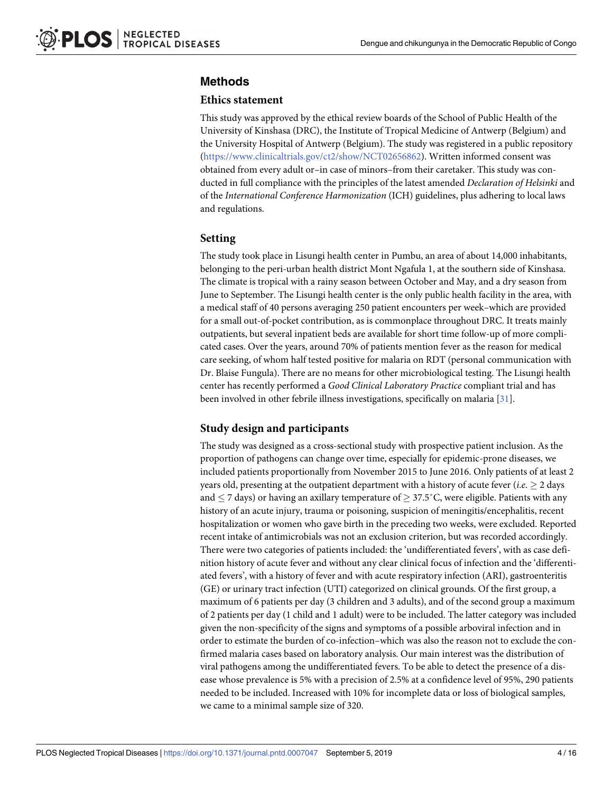## <span id="page-3-0"></span>**Methods**

#### **Ethics statement**

This study was approved by the ethical review boards of the School of Public Health of the University of Kinshasa (DRC), the Institute of Tropical Medicine of Antwerp (Belgium) and the University Hospital of Antwerp (Belgium). The study was registered in a public repository [\(https://www.clinicaltrials.gov/ct2/show/NCT02656862\)](https://www.clinicaltrials.gov/ct2/show/NCT02656862). Written informed consent was obtained from every adult or–in case of minors–from their caretaker. This study was conducted in full compliance with the principles of the latest amended *Declaration of Helsinki* and of the *International Conference Harmonization* (ICH) guidelines, plus adhering to local laws and regulations.

#### **Setting**

The study took place in Lisungi health center in Pumbu, an area of about 14,000 inhabitants, belonging to the peri-urban health district Mont Ngafula 1, at the southern side of Kinshasa. The climate is tropical with a rainy season between October and May, and a dry season from June to September. The Lisungi health center is the only public health facility in the area, with a medical staff of 40 persons averaging 250 patient encounters per week–which are provided for a small out-of-pocket contribution, as is commonplace throughout DRC. It treats mainly outpatients, but several inpatient beds are available for short time follow-up of more complicated cases. Over the years, around 70% of patients mention fever as the reason for medical care seeking, of whom half tested positive for malaria on RDT (personal communication with Dr. Blaise Fungula). There are no means for other microbiological testing. The Lisungi health center has recently performed a *Good Clinical Laboratory Practice* compliant trial and has been involved in other febrile illness investigations, specifically on malaria [\[31\]](#page-13-0).

## **Study design and participants**

The study was designed as a cross-sectional study with prospective patient inclusion. As the proportion of pathogens can change over time, especially for epidemic-prone diseases, we included patients proportionally from November 2015 to June 2016. Only patients of at least 2 years old, presenting at the outpatient department with a history of acute fever (*i.e.*  $\geq$  2 days and  $\leq$  7 days) or having an axillary temperature of  $\geq$  37.5°C, were eligible. Patients with any history of an acute injury, trauma or poisoning, suspicion of meningitis/encephalitis, recent hospitalization or women who gave birth in the preceding two weeks, were excluded. Reported recent intake of antimicrobials was not an exclusion criterion, but was recorded accordingly. There were two categories of patients included: the 'undifferentiated fevers', with as case definition history of acute fever and without any clear clinical focus of infection and the 'differentiated fevers', with a history of fever and with acute respiratory infection (ARI), gastroenteritis (GE) or urinary tract infection (UTI) categorized on clinical grounds. Of the first group, a maximum of 6 patients per day (3 children and 3 adults), and of the second group a maximum of 2 patients per day (1 child and 1 adult) were to be included. The latter category was included given the non-specificity of the signs and symptoms of a possible arboviral infection and in order to estimate the burden of co-infection–which was also the reason not to exclude the confirmed malaria cases based on laboratory analysis. Our main interest was the distribution of viral pathogens among the undifferentiated fevers. To be able to detect the presence of a disease whose prevalence is 5% with a precision of 2.5% at a confidence level of 95%, 290 patients needed to be included. Increased with 10% for incomplete data or loss of biological samples, we came to a minimal sample size of 320.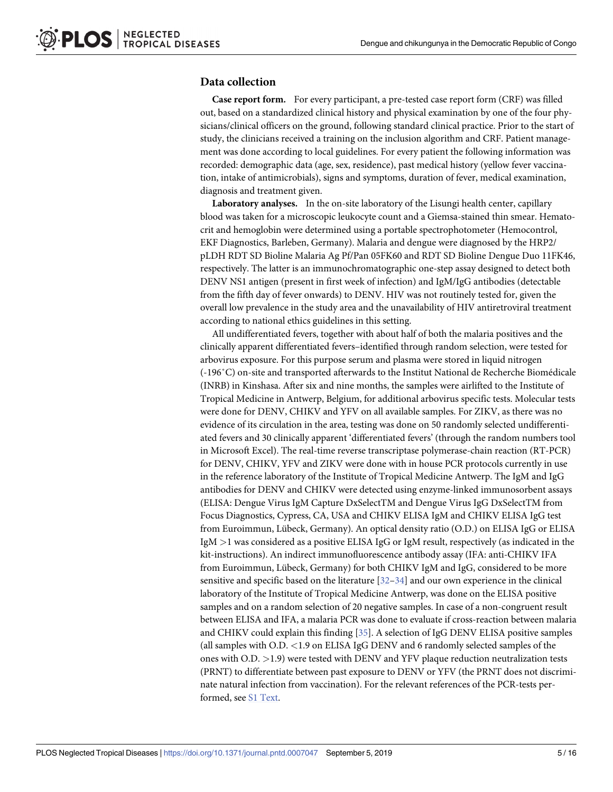#### <span id="page-4-0"></span>**Data collection**

**Case report form.** For every participant, a pre-tested case report form (CRF) was filled out, based on a standardized clinical history and physical examination by one of the four physicians/clinical officers on the ground, following standard clinical practice. Prior to the start of study, the clinicians received a training on the inclusion algorithm and CRF. Patient management was done according to local guidelines. For every patient the following information was recorded: demographic data (age, sex, residence), past medical history (yellow fever vaccination, intake of antimicrobials), signs and symptoms, duration of fever, medical examination, diagnosis and treatment given.

**Laboratory analyses.** In the on-site laboratory of the Lisungi health center, capillary blood was taken for a microscopic leukocyte count and a Giemsa-stained thin smear. Hematocrit and hemoglobin were determined using a portable spectrophotometer (Hemocontrol, EKF Diagnostics, Barleben, Germany). Malaria and dengue were diagnosed by the HRP2/ pLDH RDT SD Bioline Malaria Ag Pf/Pan 05FK60 and RDT SD Bioline Dengue Duo 11FK46, respectively. The latter is an immunochromatographic one-step assay designed to detect both DENV NS1 antigen (present in first week of infection) and IgM/IgG antibodies (detectable from the fifth day of fever onwards) to DENV. HIV was not routinely tested for, given the overall low prevalence in the study area and the unavailability of HIV antiretroviral treatment according to national ethics guidelines in this setting.

All undifferentiated fevers, together with about half of both the malaria positives and the clinically apparent differentiated fevers–identified through random selection, were tested for arbovirus exposure. For this purpose serum and plasma were stored in liquid nitrogen (-196°C) on-site and transported afterwards to the Institut National de Recherche Biomédicale (INRB) in Kinshasa. After six and nine months, the samples were airlifted to the Institute of Tropical Medicine in Antwerp, Belgium, for additional arbovirus specific tests. Molecular tests were done for DENV, CHIKV and YFV on all available samples. For ZIKV, as there was no evidence of its circulation in the area, testing was done on 50 randomly selected undifferentiated fevers and 30 clinically apparent 'differentiated fevers' (through the random numbers tool in Microsoft Excel). The real-time reverse transcriptase polymerase-chain reaction (RT-PCR) for DENV, CHIKV, YFV and ZIKV were done with in house PCR protocols currently in use in the reference laboratory of the Institute of Tropical Medicine Antwerp. The IgM and IgG antibodies for DENV and CHIKV were detected using enzyme-linked immunosorbent assays (ELISA: Dengue Virus IgM Capture DxSelectTM and Dengue Virus IgG DxSelectTM from Focus Diagnostics, Cypress, CA, USA and CHIKV ELISA IgM and CHIKV ELISA IgG test from Euroimmun, Lübeck, Germany). An optical density ratio (O.D.) on ELISA IgG or ELISA IgM *>*1 was considered as a positive ELISA IgG or IgM result, respectively (as indicated in the kit-instructions). An indirect immunofluorescence antibody assay (IFA: anti-CHIKV IFA from Euroimmun, Lübeck, Germany) for both CHIKV IgM and IgG, considered to be more sensitive and specific based on the literature [[32](#page-14-0)–[34\]](#page-14-0) and our own experience in the clinical laboratory of the Institute of Tropical Medicine Antwerp, was done on the ELISA positive samples and on a random selection of 20 negative samples. In case of a non-congruent result between ELISA and IFA, a malaria PCR was done to evaluate if cross-reaction between malaria and CHIKV could explain this finding [\[35\]](#page-14-0). A selection of IgG DENV ELISA positive samples (all samples with O.D. *<*1.9 on ELISA IgG DENV and 6 randomly selected samples of the ones with O.D. *>*1.9) were tested with DENV and YFV plaque reduction neutralization tests (PRNT) to differentiate between past exposure to DENV or YFV (the PRNT does not discriminate natural infection from vaccination). For the relevant references of the PCR-tests performed, see S1 [Text.](#page-11-0)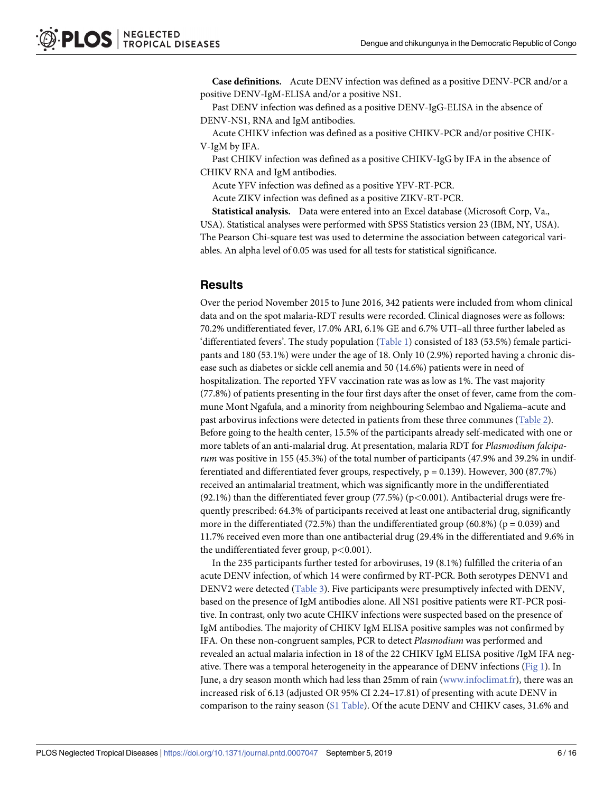<span id="page-5-0"></span>**Case definitions.** Acute DENV infection was defined as a positive DENV-PCR and/or a positive DENV-IgM-ELISA and/or a positive NS1.

Past DENV infection was defined as a positive DENV-IgG-ELISA in the absence of DENV-NS1, RNA and IgM antibodies.

Acute CHIKV infection was defined as a positive CHIKV-PCR and/or positive CHIK-V-IgM by IFA.

Past CHIKV infection was defined as a positive CHIKV-IgG by IFA in the absence of CHIKV RNA and IgM antibodies.

Acute YFV infection was defined as a positive YFV-RT-PCR.

Acute ZIKV infection was defined as a positive ZIKV-RT-PCR.

**Statistical analysis.** Data were entered into an Excel database (Microsoft Corp, Va., USA). Statistical analyses were performed with SPSS Statistics version 23 (IBM, NY, USA). The Pearson Chi-square test was used to determine the association between categorical variables. An alpha level of 0.05 was used for all tests for statistical significance.

#### **Results**

Over the period November 2015 to June 2016, 342 patients were included from whom clinical data and on the spot malaria-RDT results were recorded. Clinical diagnoses were as follows: 70.2% undifferentiated fever, 17.0% ARI, 6.1% GE and 6.7% UTI–all three further labeled as 'differentiated fevers'. The study population [\(Table](#page-6-0) 1) consisted of 183 (53.5%) female participants and 180 (53.1%) were under the age of 18. Only 10 (2.9%) reported having a chronic disease such as diabetes or sickle cell anemia and 50 (14.6%) patients were in need of hospitalization. The reported YFV vaccination rate was as low as 1%. The vast majority (77.8%) of patients presenting in the four first days after the onset of fever, came from the commune Mont Ngafula, and a minority from neighbouring Selembao and Ngaliema–acute and past arbovirus infections were detected in patients from these three communes [\(Table](#page-7-0) 2). Before going to the health center, 15.5% of the participants already self-medicated with one or more tablets of an anti-malarial drug. At presentation, malaria RDT for *Plasmodium falciparum* was positive in 155 (45.3%) of the total number of participants (47.9% and 39.2% in undifferentiated and differentiated fever groups, respectively, p = 0.139). However, 300 (87.7%) received an antimalarial treatment, which was significantly more in the undifferentiated (92.1%) than the differentiated fever group (77.5%) (p*<*0.001). Antibacterial drugs were frequently prescribed: 64.3% of participants received at least one antibacterial drug, significantly more in the differentiated (72.5%) than the undifferentiated group (60.8%) ( $p = 0.039$ ) and 11.7% received even more than one antibacterial drug (29.4% in the differentiated and 9.6% in the undifferentiated fever group, p*<*0.001).

In the 235 participants further tested for arboviruses, 19 (8.1%) fulfilled the criteria of an acute DENV infection, of which 14 were confirmed by RT-PCR. Both serotypes DENV1 and DENV2 were detected ([Table](#page-8-0) 3). Five participants were presumptively infected with DENV, based on the presence of IgM antibodies alone. All NS1 positive patients were RT-PCR positive. In contrast, only two acute CHIKV infections were suspected based on the presence of IgM antibodies. The majority of CHIKV IgM ELISA positive samples was not confirmed by IFA. On these non-congruent samples, PCR to detect *Plasmodium* was performed and revealed an actual malaria infection in 18 of the 22 CHIKV IgM ELISA positive /IgM IFA negative. There was a temporal heterogeneity in the appearance of DENV infections ([Fig](#page-8-0) 1). In June, a dry season month which had less than 25mm of rain ([www.infoclimat.fr](http://www.infoclimat.fr/)), there was an increased risk of 6.13 (adjusted OR 95% CI 2.24–17.81) of presenting with acute DENV in comparison to the rainy season (S1 [Table\)](#page-11-0). Of the acute DENV and CHIKV cases, 31.6% and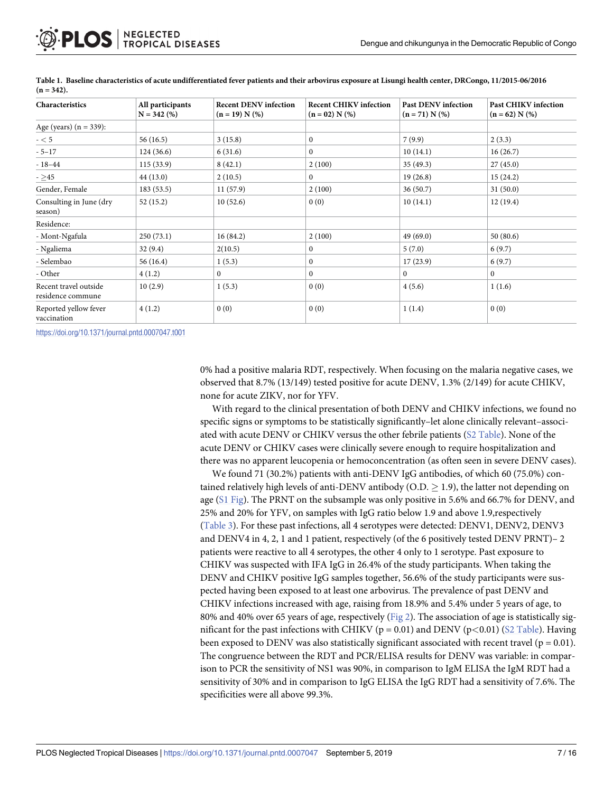| Characteristics                            | All participants<br>$N = 342 (%)$ | <b>Recent DENV infection</b><br>$(n = 19) N$ (%) | <b>Recent CHIKV infection</b><br>$(n = 02) N$ (%) | <b>Past DENV infection</b><br>$(n = 71) N$ (%) | <b>Past CHIKV infection</b><br>$(n = 62) N$ (%) |
|--------------------------------------------|-----------------------------------|--------------------------------------------------|---------------------------------------------------|------------------------------------------------|-------------------------------------------------|
| Age (years) $(n = 339)$ :                  |                                   |                                                  |                                                   |                                                |                                                 |
| $- < 5$                                    | 56 (16.5)                         | 3(15.8)                                          | $\mathbf{0}$                                      | 7(9.9)                                         | 2(3.3)                                          |
| $-5 - 17$                                  | 124 (36.6)                        | 6(31.6)                                          | $\mathbf{0}$                                      | 10(14.1)                                       | 16(26.7)                                        |
| $-18 - 44$                                 | 115(33.9)                         | 8(42.1)                                          | 2(100)                                            | 35(49.3)                                       | 27(45.0)                                        |
| $-245$                                     | 44(13.0)                          | 2(10.5)                                          | $\mathbf{0}$                                      | 19(26.8)                                       | 15(24.2)                                        |
| Gender, Female                             | 183 (53.5)                        | 11(57.9)                                         | 2(100)<br>36(50.7)                                |                                                | 31(50.0)                                        |
| Consulting in June (dry<br>season)         | 52 (15.2)                         | 10(52.6)                                         | 0(0)                                              | 10(14.1)                                       | 12(19.4)                                        |
| Residence:                                 |                                   |                                                  |                                                   |                                                |                                                 |
| - Mont-Ngafula                             | 250(73.1)                         | 16(84.2)                                         | 2(100)                                            | 49(69.0)                                       | 50(80.6)                                        |
| - Ngaliema                                 | 32 (9.4)                          | 2(10.5)                                          | 0                                                 | 5(7.0)                                         | 6(9.7)                                          |
| - Selembao                                 | 56 (16.4)                         | 1(5.3)                                           | $\boldsymbol{0}$                                  | 17(23.9)                                       | 6(9.7)                                          |
| - Other                                    | 4(1.2)                            | $\theta$                                         | $\Omega$                                          | $\Omega$                                       | $\Omega$                                        |
| Recent travel outside<br>residence commune | 10(2.9)                           | 1(5.3)                                           | 0(0)                                              | 4(5.6)                                         | 1(1.6)                                          |
| Reported yellow fever<br>vaccination       | 4(1.2)                            | 0(0)                                             | 0(0)                                              | 1(1.4)                                         | 0(0)                                            |

<span id="page-6-0"></span>[Table](#page-5-0) 1. Baseline characteristics of acute undifferentiated fever patients and their arbovirus exposure at Lisungi health center, DRCongo, 11/2015-06/2016  $(n = 342)$ .

<https://doi.org/10.1371/journal.pntd.0007047.t001>

0% had a positive malaria RDT, respectively. When focusing on the malaria negative cases, we observed that 8.7% (13/149) tested positive for acute DENV, 1.3% (2/149) for acute CHIKV, none for acute ZIKV, nor for YFV.

With regard to the clinical presentation of both DENV and CHIKV infections, we found no specific signs or symptoms to be statistically significantly–let alone clinically relevant–associated with acute DENV or CHIKV versus the other febrile patients (S2 [Table](#page-11-0)). None of the acute DENV or CHIKV cases were clinically severe enough to require hospitalization and there was no apparent leucopenia or hemoconcentration (as often seen in severe DENV cases).

We found 71 (30.2%) patients with anti-DENV IgG antibodies, of which 60 (75.0%) contained relatively high levels of anti-DENV antibody (O.D.  $\geq$  1.9), the latter not depending on age (S1 [Fig](#page-11-0)). The PRNT on the subsample was only positive in 5.6% and 66.7% for DENV, and 25% and 20% for YFV, on samples with IgG ratio below 1.9 and above 1.9,respectively [\(Table](#page-8-0) 3). For these past infections, all 4 serotypes were detected: DENV1, DENV2, DENV3 and DENV4 in 4, 2, 1 and 1 patient, respectively (of the 6 positively tested DENV PRNT)– 2 patients were reactive to all 4 serotypes, the other 4 only to 1 serotype. Past exposure to CHIKV was suspected with IFA IgG in 26.4% of the study participants. When taking the DENV and CHIKV positive IgG samples together, 56.6% of the study participants were suspected having been exposed to at least one arbovirus. The prevalence of past DENV and CHIKV infections increased with age, raising from 18.9% and 5.4% under 5 years of age, to 80% and 40% over 65 years of age, respectively ([Fig](#page-9-0) 2). The association of age is statistically significant for the past infections with CHIKV (p = 0.01) and DENV (p*<*0.01) (S2 [Table](#page-11-0)). Having been exposed to DENV was also statistically significant associated with recent travel ( $p = 0.01$ ). The congruence between the RDT and PCR/ELISA results for DENV was variable: in comparison to PCR the sensitivity of NS1 was 90%, in comparison to IgM ELISA the IgM RDT had a sensitivity of 30% and in comparison to IgG ELISA the IgG RDT had a sensitivity of 7.6%. The specificities were all above 99.3%.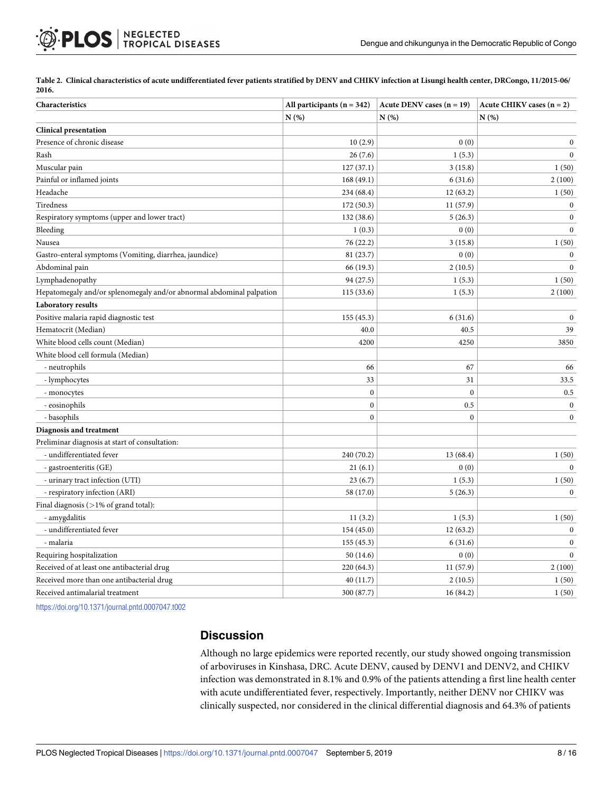| Characteristics                                                      | All participants $(n = 342)$ | Acute DENV cases $(n = 19)$ | Acute CHIKV cases $(n = 2)$ |
|----------------------------------------------------------------------|------------------------------|-----------------------------|-----------------------------|
|                                                                      | N(%)                         | N(%)                        | N(%)                        |
| <b>Clinical presentation</b>                                         |                              |                             |                             |
| Presence of chronic disease                                          | 10(2.9)                      | 0(0)                        | $\boldsymbol{0}$            |
| Rash                                                                 | 26(7.6)                      | 1(5.3)                      | $\bf{0}$                    |
| Muscular pain                                                        | 127(37.1)                    | 3(15.8)                     | 1(50)                       |
| Painful or inflamed joints                                           | 168(49.1)                    | 6(31.6)                     | 2(100)                      |
| Headache                                                             | 234 (68.4)                   | 12(63.2)                    | 1(50)                       |
| Tiredness                                                            | 172(50.3)                    | 11(57.9)                    | $\boldsymbol{0}$            |
| Respiratory symptoms (upper and lower tract)                         | 132 (38.6)                   | 5(26.3)                     | $\mathbf{0}$                |
| Bleeding                                                             | 1(0.3)                       | 0(0)                        | $\boldsymbol{0}$            |
| Nausea                                                               | 76 (22.2)                    | 3(15.8)                     | 1(50)                       |
| Gastro-enteral symptoms (Vomiting, diarrhea, jaundice)               | 81 (23.7)                    | 0(0)                        | $\boldsymbol{0}$            |
| Abdominal pain                                                       | 66 (19.3)                    | 2(10.5)                     | $\boldsymbol{0}$            |
| Lymphadenopathy                                                      | 94 (27.5)                    | 1(5.3)                      | 1(50)                       |
| Hepatomegaly and/or splenomegaly and/or abnormal abdominal palpation | 115(33.6)                    | 1(5.3)                      | 2(100)                      |
| Laboratory results                                                   |                              |                             |                             |
| Positive malaria rapid diagnostic test                               | 155(45.3)                    | 6(31.6)                     | $\mathbf{0}$                |
| Hematocrit (Median)                                                  | 40.0                         | 40.5                        | 39                          |
| White blood cells count (Median)                                     | 4200                         | 4250                        | 3850                        |
| White blood cell formula (Median)                                    |                              |                             |                             |
| - neutrophils                                                        | 66                           | 67                          | 66                          |
| - lymphocytes                                                        | 33                           | 31                          | 33.5                        |
| - monocytes                                                          | $\boldsymbol{0}$             | $\mathbf{0}$                | 0.5                         |
| - eosinophils                                                        | $\boldsymbol{0}$             | 0.5                         | $\boldsymbol{0}$            |
| - basophils                                                          | $\boldsymbol{0}$             | $\boldsymbol{0}$            | $\boldsymbol{0}$            |
| Diagnosis and treatment                                              |                              |                             |                             |
| Preliminar diagnosis at start of consultation:                       |                              |                             |                             |
| - undifferentiated fever                                             | 240 (70.2)                   | 13(68.4)                    | 1(50)                       |
| - gastroenteritis (GE)                                               | 21(6.1)                      | 0(0)                        | $\mathbf{0}$                |
| - urinary tract infection (UTI)                                      | 23(6.7)                      | 1(5.3)                      | 1(50)                       |
| - respiratory infection (ARI)                                        | 58 (17.0)                    | 5(26.3)                     | $\mathbf{0}$                |
| Final diagnosis (>1% of grand total):                                |                              |                             |                             |
| - amygdalitis                                                        | 11(3.2)                      | 1(5.3)                      | 1(50)                       |
| - undifferentiated fever                                             | 154(45.0)                    | 12(63.2)                    | $\mathbf{0}$                |
| - malaria                                                            | 155(45.3)                    | 6(31.6)                     | $\bf{0}$                    |
| Requiring hospitalization                                            | 50 (14.6)                    | 0(0)                        | $\boldsymbol{0}$            |
| Received of at least one antibacterial drug                          | 220 (64.3)                   | 11(57.9)                    | 2(100)                      |
| Received more than one antibacterial drug                            | 40(11.7)                     | 2(10.5)                     | 1(50)                       |
| Received antimalarial treatment                                      | 300 (87.7)                   | 16(84.2)                    | 1(50)                       |

<span id="page-7-0"></span>[Table](#page-5-0) 2. Clinical characteristics of acute undifferentiated fever patients stratified by DENV and CHIKV infection at Lisungi health center, DRCongo, 11/2015-06/ **2016.**

<https://doi.org/10.1371/journal.pntd.0007047.t002>

#### **Discussion**

Although no large epidemics were reported recently, our study showed ongoing transmission of arboviruses in Kinshasa, DRC. Acute DENV, caused by DENV1 and DENV2, and CHIKV infection was demonstrated in 8.1% and 0.9% of the patients attending a first line health center with acute undifferentiated fever, respectively. Importantly, neither DENV nor CHIKV was clinically suspected, nor considered in the clinical differential diagnosis and 64.3% of patients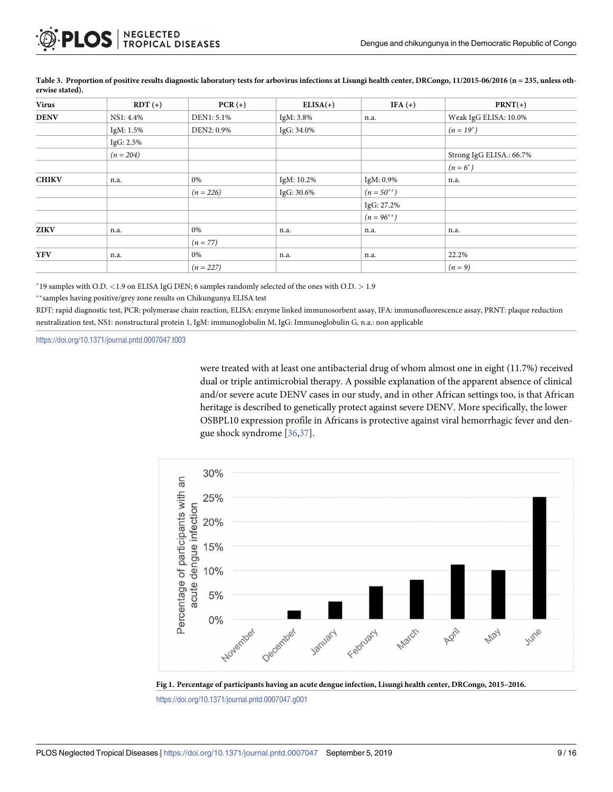| <b>Virus</b> | $RDT(+)$    | $PCR (+)$   | $ELISA(+)$ | IFA $(+)$       | $PRNT(+)$                |
|--------------|-------------|-------------|------------|-----------------|--------------------------|
| <b>DENV</b>  | NS1: 4.4%   | DEN1: 5.1%  | IgM: 3.8%  | n.a.            | Weak IgG ELISA: 10.0%    |
|              | IgM: 1.5%   | DEN2: 0.9%  | IgG: 34.0% |                 | $(n = 19^*)$             |
|              | IgG: 2.5%   |             |            |                 |                          |
|              | $(n = 204)$ |             |            |                 | Strong IgG ELISA.: 66.7% |
|              |             |             |            |                 | $(n = 6^*)$              |
| <b>CHIKV</b> | n.a.        | 0%          | IgM: 10.2% | IgM: 0.9%       | n.a.                     |
|              |             | $(n = 226)$ | IgG: 30.6% | $(n = 50^{**})$ |                          |
|              |             |             |            | IgG: 27.2%      |                          |
|              |             |             |            | $(n = 96^{**})$ |                          |
| <b>ZIKV</b>  | n.a.        | 0%          | n.a.       | n.a.            | n.a.                     |
|              |             | $(n = 77)$  |            |                 |                          |
| <b>YFV</b>   | n.a.        | 0%          | n.a.       | n.a.            | 22.2%                    |
|              |             | $(n = 227)$ |            |                 | $(n = 9)$                |

<span id="page-8-0"></span>[Table](#page-5-0) 3. Proportion of positive results diagnostic laboratory tests for arbovirus infections at Lisungi health center, DRCongo, 11/2015-06/2016 (n = 235, unless oth**erwise stated).**

�19 samples with O.D. *<*1.9 on ELISA IgG DEN; 6 samples randomly selected of the ones with O.D. *>* 1.9

��samples having positive/grey zone results on Chikungunya ELISA test

RDT: rapid diagnostic test, PCR: polymerase chain reaction, ELISA: enzyme linked immunosorbent assay, IFA: immunofluorescence assay, PRNT: plaque reduction neutralization test, NS1: nonstructural protein 1, IgM: immunoglobulin M, IgG: Immunoglobulin G, n.a.: non applicable

<https://doi.org/10.1371/journal.pntd.0007047.t003>

were treated with at least one antibacterial drug of whom almost one in eight (11.7%) received dual or triple antimicrobial therapy. A possible explanation of the apparent absence of clinical and/or severe acute DENV cases in our study, and in other African settings too, is that African heritage is described to genetically protect against severe DENV. More specifically, the lower OSBPL10 expression profile in Africans is protective against viral hemorrhagic fever and dengue shock syndrome [\[36,37\]](#page-14-0).



**[Fig](#page-5-0) 1. Percentage of participants having an acute dengue infection, Lisungi health center, DRCongo, 2015–2016.**

<https://doi.org/10.1371/journal.pntd.0007047.g001>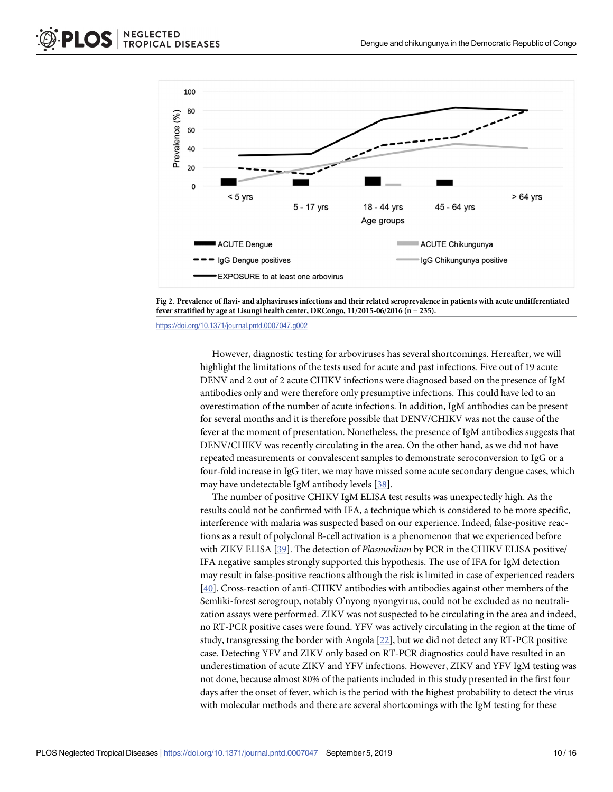<span id="page-9-0"></span>



<https://doi.org/10.1371/journal.pntd.0007047.g002>

However, diagnostic testing for arboviruses has several shortcomings. Hereafter, we will highlight the limitations of the tests used for acute and past infections. Five out of 19 acute DENV and 2 out of 2 acute CHIKV infections were diagnosed based on the presence of IgM antibodies only and were therefore only presumptive infections. This could have led to an overestimation of the number of acute infections. In addition, IgM antibodies can be present for several months and it is therefore possible that DENV/CHIKV was not the cause of the fever at the moment of presentation. Nonetheless, the presence of IgM antibodies suggests that DENV/CHIKV was recently circulating in the area. On the other hand, as we did not have repeated measurements or convalescent samples to demonstrate seroconversion to IgG or a four-fold increase in IgG titer, we may have missed some acute secondary dengue cases, which may have undetectable IgM antibody levels [[38](#page-14-0)].

The number of positive CHIKV IgM ELISA test results was unexpectedly high. As the results could not be confirmed with IFA, a technique which is considered to be more specific, interference with malaria was suspected based on our experience. Indeed, false-positive reactions as a result of polyclonal B-cell activation is a phenomenon that we experienced before with ZIKV ELISA [[39](#page-14-0)]. The detection of *Plasmodium* by PCR in the CHIKV ELISA positive/ IFA negative samples strongly supported this hypothesis. The use of IFA for IgM detection may result in false-positive reactions although the risk is limited in case of experienced readers [\[40\]](#page-14-0). Cross-reaction of anti-CHIKV antibodies with antibodies against other members of the Semliki-forest serogroup, notably O'nyong nyongvirus, could not be excluded as no neutralization assays were performed. ZIKV was not suspected to be circulating in the area and indeed, no RT-PCR positive cases were found. YFV was actively circulating in the region at the time of study, transgressing the border with Angola [[22\]](#page-13-0), but we did not detect any RT-PCR positive case. Detecting YFV and ZIKV only based on RT-PCR diagnostics could have resulted in an underestimation of acute ZIKV and YFV infections. However, ZIKV and YFV IgM testing was not done, because almost 80% of the patients included in this study presented in the first four days after the onset of fever, which is the period with the highest probability to detect the virus with molecular methods and there are several shortcomings with the IgM testing for these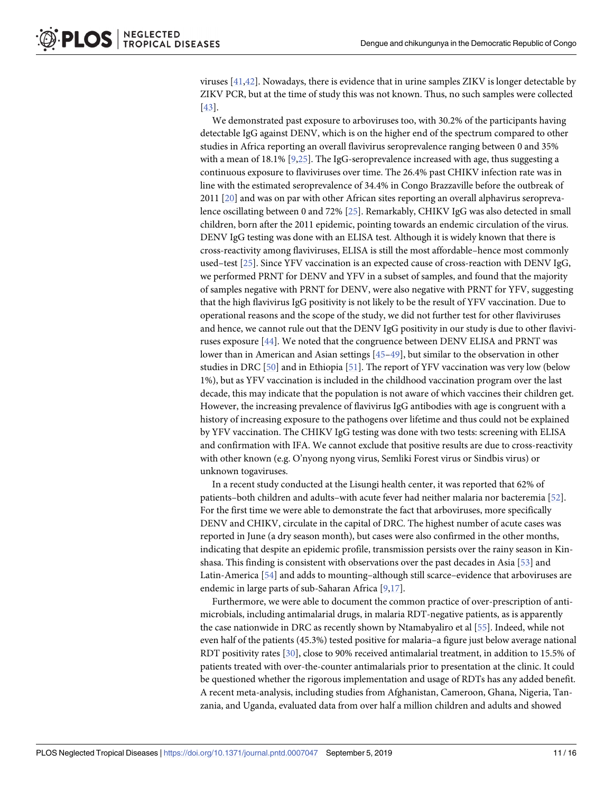<span id="page-10-0"></span>viruses [\[41,42\]](#page-14-0). Nowadays, there is evidence that in urine samples ZIKV is longer detectable by ZIKV PCR, but at the time of study this was not known. Thus, no such samples were collected [\[43\]](#page-14-0).

We demonstrated past exposure to arboviruses too, with 30.2% of the participants having detectable IgG against DENV, which is on the higher end of the spectrum compared to other studies in Africa reporting an overall flavivirus seroprevalence ranging between 0 and 35% with a mean of 18.1% [[9,](#page-12-0)[25](#page-13-0)]. The IgG-seroprevalence increased with age, thus suggesting a continuous exposure to flaviviruses over time. The 26.4% past CHIKV infection rate was in line with the estimated seroprevalence of 34.4% in Congo Brazzaville before the outbreak of 2011 [[20](#page-13-0)] and was on par with other African sites reporting an overall alphavirus seroprevalence oscillating between 0 and 72% [[25](#page-13-0)]. Remarkably, CHIKV IgG was also detected in small children, born after the 2011 epidemic, pointing towards an endemic circulation of the virus. DENV IgG testing was done with an ELISA test. Although it is widely known that there is cross-reactivity among flaviviruses, ELISA is still the most affordable–hence most commonly used–test [\[25\]](#page-13-0). Since YFV vaccination is an expected cause of cross-reaction with DENV IgG, we performed PRNT for DENV and YFV in a subset of samples, and found that the majority of samples negative with PRNT for DENV, were also negative with PRNT for YFV, suggesting that the high flavivirus IgG positivity is not likely to be the result of YFV vaccination. Due to operational reasons and the scope of the study, we did not further test for other flaviviruses and hence, we cannot rule out that the DENV IgG positivity in our study is due to other flaviviruses exposure [\[44\]](#page-14-0). We noted that the congruence between DENV ELISA and PRNT was lower than in American and Asian settings [\[45–49\]](#page-14-0), but similar to the observation in other studies in DRC [\[50\]](#page-14-0) and in Ethiopia [\[51\]](#page-15-0). The report of YFV vaccination was very low (below 1%), but as YFV vaccination is included in the childhood vaccination program over the last decade, this may indicate that the population is not aware of which vaccines their children get. However, the increasing prevalence of flavivirus IgG antibodies with age is congruent with a history of increasing exposure to the pathogens over lifetime and thus could not be explained by YFV vaccination. The CHIKV IgG testing was done with two tests: screening with ELISA and confirmation with IFA. We cannot exclude that positive results are due to cross-reactivity with other known (e.g. O'nyong nyong virus, Semliki Forest virus or Sindbis virus) or unknown togaviruses.

In a recent study conducted at the Lisungi health center, it was reported that 62% of patients–both children and adults–with acute fever had neither malaria nor bacteremia [[52](#page-15-0)]. For the first time we were able to demonstrate the fact that arboviruses, more specifically DENV and CHIKV, circulate in the capital of DRC. The highest number of acute cases was reported in June (a dry season month), but cases were also confirmed in the other months, indicating that despite an epidemic profile, transmission persists over the rainy season in Kinshasa. This finding is consistent with observations over the past decades in Asia [\[53\]](#page-15-0) and Latin-America [\[54\]](#page-15-0) and adds to mounting–although still scarce–evidence that arboviruses are endemic in large parts of sub-Saharan Africa [[9,](#page-12-0)[17](#page-13-0)].

Furthermore, we were able to document the common practice of over-prescription of antimicrobials, including antimalarial drugs, in malaria RDT-negative patients, as is apparently the case nationwide in DRC as recently shown by Ntamabyaliro et al [\[55\]](#page-15-0). Indeed, while not even half of the patients (45.3%) tested positive for malaria–a figure just below average national RDT positivity rates [[30\]](#page-13-0), close to 90% received antimalarial treatment, in addition to 15.5% of patients treated with over-the-counter antimalarials prior to presentation at the clinic. It could be questioned whether the rigorous implementation and usage of RDTs has any added benefit. A recent meta-analysis, including studies from Afghanistan, Cameroon, Ghana, Nigeria, Tanzania, and Uganda, evaluated data from over half a million children and adults and showed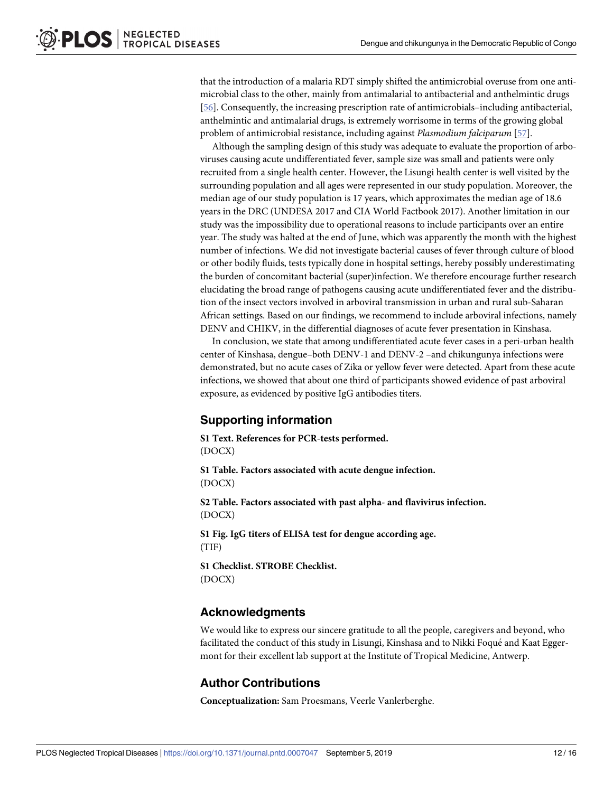<span id="page-11-0"></span>that the introduction of a malaria RDT simply shifted the antimicrobial overuse from one antimicrobial class to the other, mainly from antimalarial to antibacterial and anthelmintic drugs [\[56\]](#page-15-0). Consequently, the increasing prescription rate of antimicrobials–including antibacterial, anthelmintic and antimalarial drugs, is extremely worrisome in terms of the growing global problem of antimicrobial resistance, including against *Plasmodium falciparum* [[57](#page-15-0)].

Although the sampling design of this study was adequate to evaluate the proportion of arboviruses causing acute undifferentiated fever, sample size was small and patients were only recruited from a single health center. However, the Lisungi health center is well visited by the surrounding population and all ages were represented in our study population. Moreover, the median age of our study population is 17 years, which approximates the median age of 18.6 years in the DRC (UNDESA 2017 and CIA World Factbook 2017). Another limitation in our study was the impossibility due to operational reasons to include participants over an entire year. The study was halted at the end of June, which was apparently the month with the highest number of infections. We did not investigate bacterial causes of fever through culture of blood or other bodily fluids, tests typically done in hospital settings, hereby possibly underestimating the burden of concomitant bacterial (super)infection. We therefore encourage further research elucidating the broad range of pathogens causing acute undifferentiated fever and the distribution of the insect vectors involved in arboviral transmission in urban and rural sub-Saharan African settings. Based on our findings, we recommend to include arboviral infections, namely DENV and CHIKV, in the differential diagnoses of acute fever presentation in Kinshasa.

In conclusion, we state that among undifferentiated acute fever cases in a peri-urban health center of Kinshasa, dengue–both DENV-1 and DENV-2 –and chikungunya infections were demonstrated, but no acute cases of Zika or yellow fever were detected. Apart from these acute infections, we showed that about one third of participants showed evidence of past arboviral exposure, as evidenced by positive IgG antibodies titers.

## **Supporting information**

**S1 [Text](http://journals.plos.org/plosntds/article/asset?unique&id=info:doi/10.1371/journal.pntd.0007047.s001). References for PCR-tests performed.** (DOCX)

**S1 [Table.](http://journals.plos.org/plosntds/article/asset?unique&id=info:doi/10.1371/journal.pntd.0007047.s002) Factors associated with acute dengue infection.** (DOCX)

**S2 [Table.](http://journals.plos.org/plosntds/article/asset?unique&id=info:doi/10.1371/journal.pntd.0007047.s003) Factors associated with past alpha- and flavivirus infection.** (DOCX)

**S1 [Fig](http://journals.plos.org/plosntds/article/asset?unique&id=info:doi/10.1371/journal.pntd.0007047.s004). IgG titers of ELISA test for dengue according age.** (TIF)

**S1 [Checklist.](http://journals.plos.org/plosntds/article/asset?unique&id=info:doi/10.1371/journal.pntd.0007047.s005) STROBE Checklist.** (DOCX)

#### **Acknowledgments**

We would like to express our sincere gratitude to all the people, caregivers and beyond, who facilitated the conduct of this study in Lisungi, Kinshasa and to Nikki Foqué and Kaat Eggermont for their excellent lab support at the Institute of Tropical Medicine, Antwerp.

## **Author Contributions**

**Conceptualization:** Sam Proesmans, Veerle Vanlerberghe.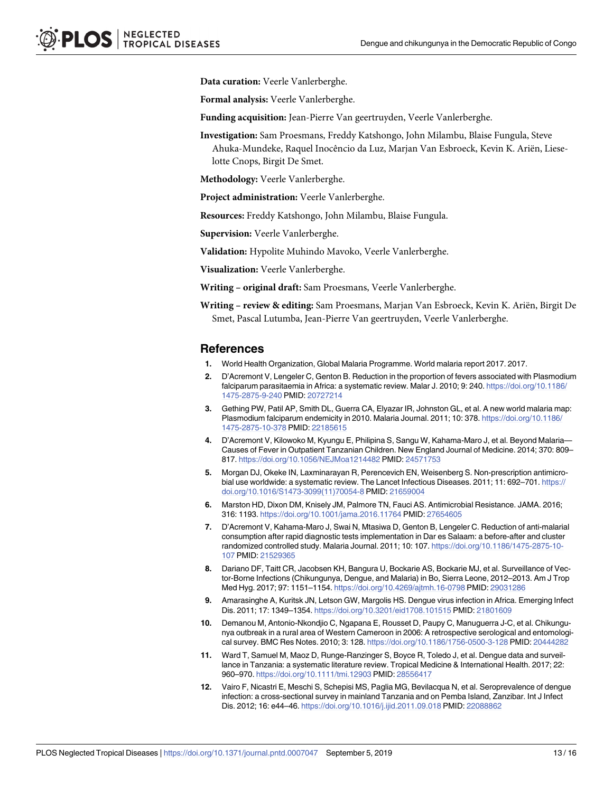<span id="page-12-0"></span>**Data curation:** Veerle Vanlerberghe.

**Formal analysis:** Veerle Vanlerberghe.

**Funding acquisition:** Jean-Pierre Van geertruyden, Veerle Vanlerberghe.

**Investigation:** Sam Proesmans, Freddy Katshongo, John Milambu, Blaise Fungula, Steve Ahuka-Mundeke, Raquel Inocêncio da Luz, Marjan Van Esbroeck, Kevin K. Ariën, Lieselotte Cnops, Birgit De Smet.

**Methodology:** Veerle Vanlerberghe.

**Project administration:** Veerle Vanlerberghe.

**Resources:** Freddy Katshongo, John Milambu, Blaise Fungula.

**Supervision:** Veerle Vanlerberghe.

**Validation:** Hypolite Muhindo Mavoko, Veerle Vanlerberghe.

**Visualization:** Veerle Vanlerberghe.

**Writing – original draft:** Sam Proesmans, Veerle Vanlerberghe.

**Writing** – **review & editing:** Sam Proesmans, Marjan Van Esbroeck, Kevin K. Ariën, Birgit De Smet, Pascal Lutumba, Jean-Pierre Van geertruyden, Veerle Vanlerberghe.

#### **References**

- **[1](#page-1-0).** World Health Organization, Global Malaria Programme. World malaria report 2017. 2017.
- **[2](#page-1-0).** D'Acremont V, Lengeler C, Genton B. Reduction in the proportion of fevers associated with Plasmodium falciparum parasitaemia in Africa: a systematic review. Malar J. 2010; 9: 240. [https://doi.org/10.1186/](https://doi.org/10.1186/1475-2875-9-240) [1475-2875-9-240](https://doi.org/10.1186/1475-2875-9-240) PMID: [20727214](http://www.ncbi.nlm.nih.gov/pubmed/20727214)
- **3.** Gething PW, Patil AP, Smith DL, Guerra CA, Elyazar IR, Johnston GL, et al. A new world malaria map: Plasmodium falciparum endemicity in 2010. Malaria Journal. 2011; 10: 378. [https://doi.org/10.1186/](https://doi.org/10.1186/1475-2875-10-378) [1475-2875-10-378](https://doi.org/10.1186/1475-2875-10-378) PMID: [22185615](http://www.ncbi.nlm.nih.gov/pubmed/22185615)
- **[4](#page-1-0).** D'Acremont V, Kilowoko M, Kyungu E, Philipina S, Sangu W, Kahama-Maro J, et al. Beyond Malaria— Causes of Fever in Outpatient Tanzanian Children. New England Journal of Medicine. 2014; 370: 809– 817. <https://doi.org/10.1056/NEJMoa1214482> PMID: [24571753](http://www.ncbi.nlm.nih.gov/pubmed/24571753)
- **[5](#page-2-0).** Morgan DJ, Okeke IN, Laxminarayan R, Perencevich EN, Weisenberg S. Non-prescription antimicrobial use worldwide: a systematic review. The Lancet Infectious Diseases. 2011; 11: 692-701. [https://](https://doi.org/10.1016/S1473-3099(11)70054-8) [doi.org/10.1016/S1473-3099\(11\)70054-8](https://doi.org/10.1016/S1473-3099(11)70054-8) PMID: [21659004](http://www.ncbi.nlm.nih.gov/pubmed/21659004)
- **[6](#page-2-0).** Marston HD, Dixon DM, Knisely JM, Palmore TN, Fauci AS. Antimicrobial Resistance. JAMA. 2016; 316: 1193. <https://doi.org/10.1001/jama.2016.11764> PMID: [27654605](http://www.ncbi.nlm.nih.gov/pubmed/27654605)
- **[7](#page-2-0).** D'Acremont V, Kahama-Maro J, Swai N, Mtasiwa D, Genton B, Lengeler C. Reduction of anti-malarial consumption after rapid diagnostic tests implementation in Dar es Salaam: a before-after and cluster randomized controlled study. Malaria Journal. 2011; 10: 107. [https://doi.org/10.1186/1475-2875-10-](https://doi.org/10.1186/1475-2875-10-107) [107](https://doi.org/10.1186/1475-2875-10-107) PMID: [21529365](http://www.ncbi.nlm.nih.gov/pubmed/21529365)
- **[8](#page-2-0).** Dariano DF, Taitt CR, Jacobsen KH, Bangura U, Bockarie AS, Bockarie MJ, et al. Surveillance of Vector-Borne Infections (Chikungunya, Dengue, and Malaria) in Bo, Sierra Leone, 2012–2013. Am J Trop Med Hyg. 2017; 97: 1151–1154. <https://doi.org/10.4269/ajtmh.16-0798> PMID: [29031286](http://www.ncbi.nlm.nih.gov/pubmed/29031286)
- **[9](#page-2-0).** Amarasinghe A, Kuritsk JN, Letson GW, Margolis HS. Dengue virus infection in Africa. Emerging Infect Dis. 2011; 17: 1349–1354. <https://doi.org/10.3201/eid1708.101515> PMID: [21801609](http://www.ncbi.nlm.nih.gov/pubmed/21801609)
- **[10](#page-2-0).** Demanou M, Antonio-Nkondjio C, Ngapana E, Rousset D, Paupy C, Manuguerra J-C, et al. Chikungunya outbreak in a rural area of Western Cameroon in 2006: A retrospective serological and entomological survey. BMC Res Notes. 2010; 3: 128. <https://doi.org/10.1186/1756-0500-3-128> PMID: [20444282](http://www.ncbi.nlm.nih.gov/pubmed/20444282)
- **[11](#page-2-0).** Ward T, Samuel M, Maoz D, Runge-Ranzinger S, Boyce R, Toledo J, et al. Dengue data and surveillance in Tanzania: a systematic literature review. Tropical Medicine & International Health. 2017; 22: 960–970. <https://doi.org/10.1111/tmi.12903> PMID: [28556417](http://www.ncbi.nlm.nih.gov/pubmed/28556417)
- **[12](#page-2-0).** Vairo F, Nicastri E, Meschi S, Schepisi MS, Paglia MG, Bevilacqua N, et al. Seroprevalence of dengue infection: a cross-sectional survey in mainland Tanzania and on Pemba Island, Zanzibar. Int J Infect Dis. 2012; 16: e44–46. <https://doi.org/10.1016/j.ijid.2011.09.018> PMID: [22088862](http://www.ncbi.nlm.nih.gov/pubmed/22088862)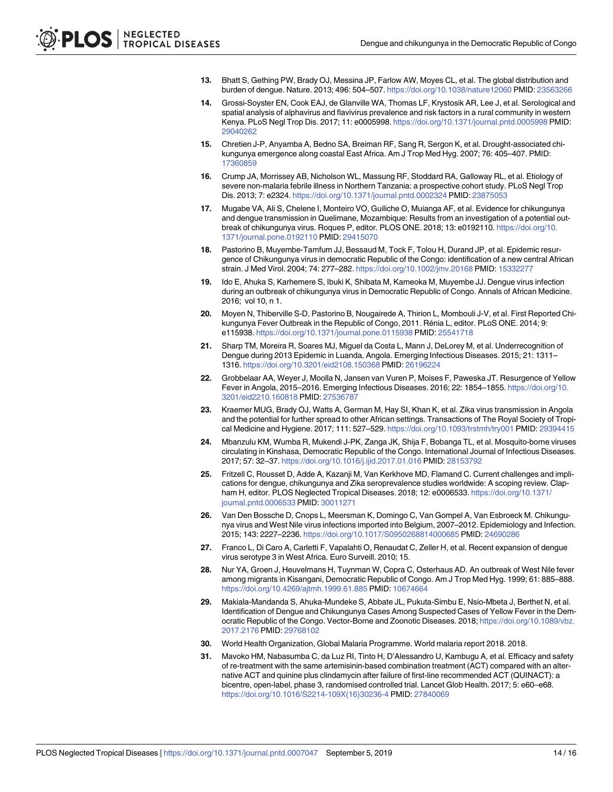- <span id="page-13-0"></span>**[13](#page-2-0).** Bhatt S, Gething PW, Brady OJ, Messina JP, Farlow AW, Moyes CL, et al. The global distribution and burden of dengue. Nature. 2013; 496: 504–507. <https://doi.org/10.1038/nature12060> PMID: [23563266](http://www.ncbi.nlm.nih.gov/pubmed/23563266)
- **[14](#page-2-0).** Grossi-Soyster EN, Cook EAJ, de Glanville WA, Thomas LF, Krystosik AR, Lee J, et al. Serological and spatial analysis of alphavirus and flavivirus prevalence and risk factors in a rural community in western Kenya. PLoS Negl Trop Dis. 2017; 11: e0005998. <https://doi.org/10.1371/journal.pntd.0005998> PMID: [29040262](http://www.ncbi.nlm.nih.gov/pubmed/29040262)
- **[15](#page-2-0).** Chretien J-P, Anyamba A, Bedno SA, Breiman RF, Sang R, Sergon K, et al. Drought-associated chikungunya emergence along coastal East Africa. Am J Trop Med Hyg. 2007; 76: 405–407. PMID: [17360859](http://www.ncbi.nlm.nih.gov/pubmed/17360859)
- **[16](#page-2-0).** Crump JA, Morrissey AB, Nicholson WL, Massung RF, Stoddard RA, Galloway RL, et al. Etiology of severe non-malaria febrile illness in Northern Tanzania: a prospective cohort study. PLoS Negl Trop Dis. 2013; 7: e2324. <https://doi.org/10.1371/journal.pntd.0002324> PMID: [23875053](http://www.ncbi.nlm.nih.gov/pubmed/23875053)
- **[17](#page-2-0).** Mugabe VA, Ali S, Chelene I, Monteiro VO, Guiliche O, Muianga AF, et al. Evidence for chikungunya and dengue transmission in Quelimane, Mozambique: Results from an investigation of a potential outbreak of chikungunya virus. Roques P, editor. PLOS ONE. 2018; 13: e0192110. [https://doi.org/10.](https://doi.org/10.1371/journal.pone.0192110) [1371/journal.pone.0192110](https://doi.org/10.1371/journal.pone.0192110) PMID: [29415070](http://www.ncbi.nlm.nih.gov/pubmed/29415070)
- **[18](#page-2-0).** Pastorino B, Muyembe-Tamfum JJ, Bessaud M, Tock F, Tolou H, Durand JP, et al. Epidemic resurgence of Chikungunya virus in democratic Republic of the Congo: identification of a new central African strain. J Med Virol. 2004; 74: 277–282. <https://doi.org/10.1002/jmv.20168> PMID: [15332277](http://www.ncbi.nlm.nih.gov/pubmed/15332277)
- **[19](#page-2-0).** Ido E, Ahuka S, Karhemere S, Ibuki K, Shibata M, Kameoka M, Muyembe JJ. Dengue virus infection during an outbreak of chikungunya virus in Democratic Republic of Congo. Annals of African Medicine. 2016; vol 10, n 1.
- **[20](#page-2-0).** Moyen N, Thiberville S-D, Pastorino B, Nougairede A, Thirion L, Mombouli J-V, et al. First Reported Chikungunya Fever Outbreak in the Republic of Congo, 2011. Rénia L, editor. PLoS ONE. 2014; 9: e115938. <https://doi.org/10.1371/journal.pone.0115938> PMID: [25541718](http://www.ncbi.nlm.nih.gov/pubmed/25541718)
- **[21](#page-2-0).** Sharp TM, Moreira R, Soares MJ, Miguel da Costa L, Mann J, DeLorey M, et al. Underrecognition of Dengue during 2013 Epidemic in Luanda, Angola. Emerging Infectious Diseases. 2015; 21: 1311– 1316. <https://doi.org/10.3201/eid2108.150368> PMID: [26196224](http://www.ncbi.nlm.nih.gov/pubmed/26196224)
- **[22](#page-2-0).** Grobbelaar AA, Weyer J, Moolla N, Jansen van Vuren P, Moises F, Paweska JT. Resurgence of Yellow Fever in Angola, 2015–2016. Emerging Infectious Diseases. 2016; 22: 1854–1855. [https://doi.org/10.](https://doi.org/10.3201/eid2210.160818) [3201/eid2210.160818](https://doi.org/10.3201/eid2210.160818) PMID: [27536787](http://www.ncbi.nlm.nih.gov/pubmed/27536787)
- **[23](#page-2-0).** Kraemer MUG, Brady OJ, Watts A, German M, Hay SI, Khan K, et al. Zika virus transmission in Angola and the potential for further spread to other African settings. Transactions of The Royal Society of Tropical Medicine and Hygiene. 2017; 111: 527–529. <https://doi.org/10.1093/trstmh/try001> PMID: [29394415](http://www.ncbi.nlm.nih.gov/pubmed/29394415)
- **[24](#page-2-0).** Mbanzulu KM, Wumba R, Mukendi J-PK, Zanga JK, Shija F, Bobanga TL, et al. Mosquito-borne viruses circulating in Kinshasa, Democratic Republic of the Congo. International Journal of Infectious Diseases. 2017; 57: 32–37. <https://doi.org/10.1016/j.ijid.2017.01.016> PMID: [28153792](http://www.ncbi.nlm.nih.gov/pubmed/28153792)
- **[25](#page-2-0).** Fritzell C, Rousset D, Adde A, Kazanji M, Van Kerkhove MD, Flamand C. Current challenges and implications for dengue, chikungunya and Zika seroprevalence studies worldwide: A scoping review. Clapham H, editor. PLOS Neglected Tropical Diseases. 2018; 12: e0006533. [https://doi.org/10.1371/](https://doi.org/10.1371/journal.pntd.0006533) [journal.pntd.0006533](https://doi.org/10.1371/journal.pntd.0006533) PMID: [30011271](http://www.ncbi.nlm.nih.gov/pubmed/30011271)
- **[26](#page-2-0).** Van Den Bossche D, Cnops L, Meersman K, Domingo C, Van Gompel A, Van Esbroeck M. Chikungunya virus and West Nile virus infections imported into Belgium, 2007–2012. Epidemiology and Infection. 2015; 143: 2227–2236. <https://doi.org/10.1017/S0950268814000685> PMID: [24690286](http://www.ncbi.nlm.nih.gov/pubmed/24690286)
- **[27](#page-2-0).** Franco L, Di Caro A, Carletti F, Vapalahti O, Renaudat C, Zeller H, et al. Recent expansion of dengue virus serotype 3 in West Africa. Euro Surveill. 2010; 15.
- **[28](#page-2-0).** Nur YA, Groen J, Heuvelmans H, Tuynman W, Copra C, Osterhaus AD. An outbreak of West Nile fever among migrants in Kisangani, Democratic Republic of Congo. Am J Trop Med Hyg. 1999; 61: 885–888. <https://doi.org/10.4269/ajtmh.1999.61.885> PMID: [10674664](http://www.ncbi.nlm.nih.gov/pubmed/10674664)
- **[29](#page-2-0).** Makiala-Mandanda S, Ahuka-Mundeke S, Abbate JL, Pukuta-Simbu E, Nsio-Mbeta J, Berthet N, et al. Identification of Dengue and Chikungunya Cases Among Suspected Cases of Yellow Fever in the Democratic Republic of the Congo. Vector-Borne and Zoonotic Diseases. 2018; [https://doi.org/10.1089/vbz.](https://doi.org/10.1089/vbz.2017.2176) [2017.2176](https://doi.org/10.1089/vbz.2017.2176) PMID: [29768102](http://www.ncbi.nlm.nih.gov/pubmed/29768102)
- **[30](#page-2-0).** World Health Organization, Global Malaria Programme. World malaria report 2018. 2018.
- **[31](#page-3-0).** Mavoko HM, Nabasumba C, da Luz RI, Tinto H, D'Alessandro U, Kambugu A, et al. Efficacy and safety of re-treatment with the same artemisinin-based combination treatment (ACT) compared with an alternative ACT and quinine plus clindamycin after failure of first-line recommended ACT (QUINACT): a bicentre, open-label, phase 3, randomised controlled trial. Lancet Glob Health. 2017; 5: e60–e68. [https://doi.org/10.1016/S2214-109X\(16\)30236-4](https://doi.org/10.1016/S2214-109X(16)30236-4) PMID: [27840069](http://www.ncbi.nlm.nih.gov/pubmed/27840069)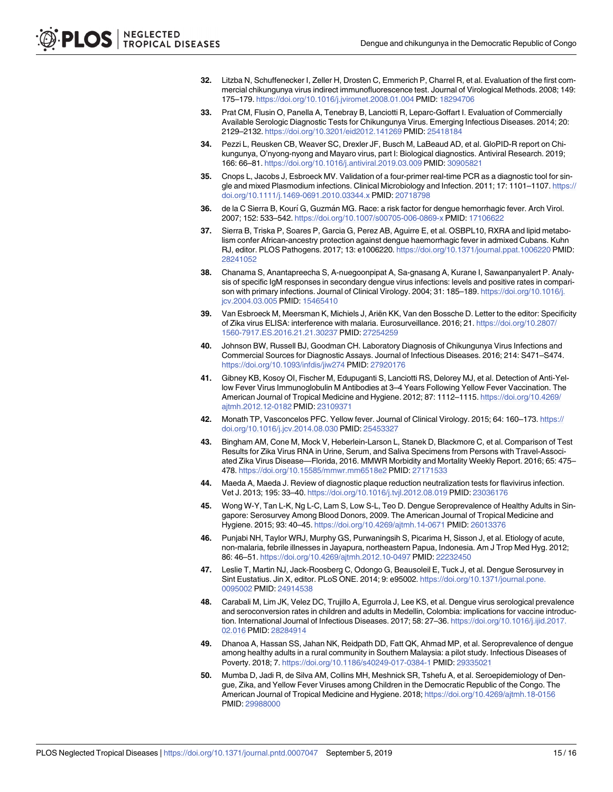- <span id="page-14-0"></span>**[32](#page-4-0).** Litzba N, Schuffenecker I, Zeller H, Drosten C, Emmerich P, Charrel R, et al. Evaluation of the first commercial chikungunya virus indirect immunofluorescence test. Journal of Virological Methods. 2008; 149: 175–179. <https://doi.org/10.1016/j.jviromet.2008.01.004> PMID: [18294706](http://www.ncbi.nlm.nih.gov/pubmed/18294706)
- **33.** Prat CM, Flusin O, Panella A, Tenebray B, Lanciotti R, Leparc-Goffart I. Evaluation of Commercially Available Serologic Diagnostic Tests for Chikungunya Virus. Emerging Infectious Diseases. 2014; 20: 2129–2132. <https://doi.org/10.3201/eid2012.141269> PMID: [25418184](http://www.ncbi.nlm.nih.gov/pubmed/25418184)
- **[34](#page-4-0).** Pezzi L, Reusken CB, Weaver SC, Drexler JF, Busch M, LaBeaud AD, et al. GloPID-R report on Chikungunya, O'nyong-nyong and Mayaro virus, part I: Biological diagnostics. Antiviral Research. 2019; 166: 66–81. <https://doi.org/10.1016/j.antiviral.2019.03.009> PMID: [30905821](http://www.ncbi.nlm.nih.gov/pubmed/30905821)
- **[35](#page-4-0).** Cnops L, Jacobs J, Esbroeck MV. Validation of a four-primer real-time PCR as a diagnostic tool for single and mixed Plasmodium infections. Clinical Microbiology and Infection. 2011; 17: 1101-1107. [https://](https://doi.org/10.1111/j.1469-0691.2010.03344.x) [doi.org/10.1111/j.1469-0691.2010.03344.x](https://doi.org/10.1111/j.1469-0691.2010.03344.x) PMID: [20718798](http://www.ncbi.nlm.nih.gov/pubmed/20718798)
- **[36](#page-8-0).** de la C Sierra B, Kourı´ G, Guzma´n MG. Race: a risk factor for dengue hemorrhagic fever. Arch Virol. 2007; 152: 533–542. <https://doi.org/10.1007/s00705-006-0869-x> PMID: [17106622](http://www.ncbi.nlm.nih.gov/pubmed/17106622)
- **[37](#page-8-0).** Sierra B, Triska P, Soares P, Garcia G, Perez AB, Aguirre E, et al. OSBPL10, RXRA and lipid metabolism confer African-ancestry protection against dengue haemorrhagic fever in admixed Cubans. Kuhn RJ, editor. PLOS Pathogens. 2017; 13: e1006220. <https://doi.org/10.1371/journal.ppat.1006220> PMID: [28241052](http://www.ncbi.nlm.nih.gov/pubmed/28241052)
- **[38](#page-9-0).** Chanama S, Anantapreecha S, A-nuegoonpipat A, Sa-gnasang A, Kurane I, Sawanpanyalert P. Analysis of specific IgM responses in secondary dengue virus infections: levels and positive rates in comparison with primary infections. Journal of Clinical Virology. 2004; 31: 185-189. [https://doi.org/10.1016/j.](https://doi.org/10.1016/j.jcv.2004.03.005) [jcv.2004.03.005](https://doi.org/10.1016/j.jcv.2004.03.005) PMID: [15465410](http://www.ncbi.nlm.nih.gov/pubmed/15465410)
- **[39](#page-9-0).** Van Esbroeck M, Meersman K, Michiels J, Ariën KK, Van den Bossche D. Letter to the editor: Specificity of Zika virus ELISA: interference with malaria. Eurosurveillance. 2016; 21. [https://doi.org/10.2807/](https://doi.org/10.2807/1560-7917.ES.2016.21.21.30237) [1560-7917.ES.2016.21.21.30237](https://doi.org/10.2807/1560-7917.ES.2016.21.21.30237) PMID: [27254259](http://www.ncbi.nlm.nih.gov/pubmed/27254259)
- **[40](#page-9-0).** Johnson BW, Russell BJ, Goodman CH. Laboratory Diagnosis of Chikungunya Virus Infections and Commercial Sources for Diagnostic Assays. Journal of Infectious Diseases. 2016; 214: S471–S474. <https://doi.org/10.1093/infdis/jiw274> PMID: [27920176](http://www.ncbi.nlm.nih.gov/pubmed/27920176)
- **[41](#page-10-0).** Gibney KB, Kosoy OI, Fischer M, Edupuganti S, Lanciotti RS, Delorey MJ, et al. Detection of Anti-Yellow Fever Virus Immunoglobulin M Antibodies at 3–4 Years Following Yellow Fever Vaccination. The American Journal of Tropical Medicine and Hygiene. 2012; 87: 1112–1115. [https://doi.org/10.4269/](https://doi.org/10.4269/ajtmh.2012.12-0182) [ajtmh.2012.12-0182](https://doi.org/10.4269/ajtmh.2012.12-0182) PMID: [23109371](http://www.ncbi.nlm.nih.gov/pubmed/23109371)
- **[42](#page-10-0).** Monath TP, Vasconcelos PFC. Yellow fever. Journal of Clinical Virology. 2015; 64: 160–173. [https://](https://doi.org/10.1016/j.jcv.2014.08.030) [doi.org/10.1016/j.jcv.2014.08.030](https://doi.org/10.1016/j.jcv.2014.08.030) PMID: [25453327](http://www.ncbi.nlm.nih.gov/pubmed/25453327)
- **[43](#page-10-0).** Bingham AM, Cone M, Mock V, Heberlein-Larson L, Stanek D, Blackmore C, et al. Comparison of Test Results for Zika Virus RNA in Urine, Serum, and Saliva Specimens from Persons with Travel-Associated Zika Virus Disease—Florida, 2016. MMWR Morbidity and Mortality Weekly Report. 2016; 65: 475– 478. <https://doi.org/10.15585/mmwr.mm6518e2> PMID: [27171533](http://www.ncbi.nlm.nih.gov/pubmed/27171533)
- **[44](#page-10-0).** Maeda A, Maeda J. Review of diagnostic plaque reduction neutralization tests for flavivirus infection. Vet J. 2013; 195: 33–40. <https://doi.org/10.1016/j.tvjl.2012.08.019> PMID: [23036176](http://www.ncbi.nlm.nih.gov/pubmed/23036176)
- **[45](#page-10-0).** Wong W-Y, Tan L-K, Ng L-C, Lam S, Low S-L, Teo D. Dengue Seroprevalence of Healthy Adults in Singapore: Serosurvey Among Blood Donors, 2009. The American Journal of Tropical Medicine and Hygiene. 2015; 93: 40–45. <https://doi.org/10.4269/ajtmh.14-0671> PMID: [26013376](http://www.ncbi.nlm.nih.gov/pubmed/26013376)
- **46.** Punjabi NH, Taylor WRJ, Murphy GS, Purwaningsih S, Picarima H, Sisson J, et al. Etiology of acute, non-malaria, febrile illnesses in Jayapura, northeastern Papua, Indonesia. Am J Trop Med Hyg. 2012; 86: 46–51. <https://doi.org/10.4269/ajtmh.2012.10-0497> PMID: [22232450](http://www.ncbi.nlm.nih.gov/pubmed/22232450)
- **47.** Leslie T, Martin NJ, Jack-Roosberg C, Odongo G, Beausoleil E, Tuck J, et al. Dengue Serosurvey in Sint Eustatius. Jin X, editor. PLoS ONE. 2014; 9: e95002. [https://doi.org/10.1371/journal.pone.](https://doi.org/10.1371/journal.pone.0095002) [0095002](https://doi.org/10.1371/journal.pone.0095002) PMID: [24914538](http://www.ncbi.nlm.nih.gov/pubmed/24914538)
- **48.** Carabali M, Lim JK, Velez DC, Trujillo A, Egurrola J, Lee KS, et al. Dengue virus serological prevalence and seroconversion rates in children and adults in Medellin, Colombia: implications for vaccine introduction. International Journal of Infectious Diseases. 2017; 58: 27–36. [https://doi.org/10.1016/j.ijid.2017.](https://doi.org/10.1016/j.ijid.2017.02.016) [02.016](https://doi.org/10.1016/j.ijid.2017.02.016) PMID: [28284914](http://www.ncbi.nlm.nih.gov/pubmed/28284914)
- **[49](#page-10-0).** Dhanoa A, Hassan SS, Jahan NK, Reidpath DD, Fatt QK, Ahmad MP, et al. Seroprevalence of dengue among healthy adults in a rural community in Southern Malaysia: a pilot study. Infectious Diseases of Poverty. 2018; 7. <https://doi.org/10.1186/s40249-017-0384-1> PMID: [29335021](http://www.ncbi.nlm.nih.gov/pubmed/29335021)
- **[50](#page-10-0).** Mumba D, Jadi R, de Silva AM, Collins MH, Meshnick SR, Tshefu A, et al. Seroepidemiology of Dengue, Zika, and Yellow Fever Viruses among Children in the Democratic Republic of the Congo. The American Journal of Tropical Medicine and Hygiene. 2018; <https://doi.org/10.4269/ajtmh.18-0156> PMID: [29988000](http://www.ncbi.nlm.nih.gov/pubmed/29988000)